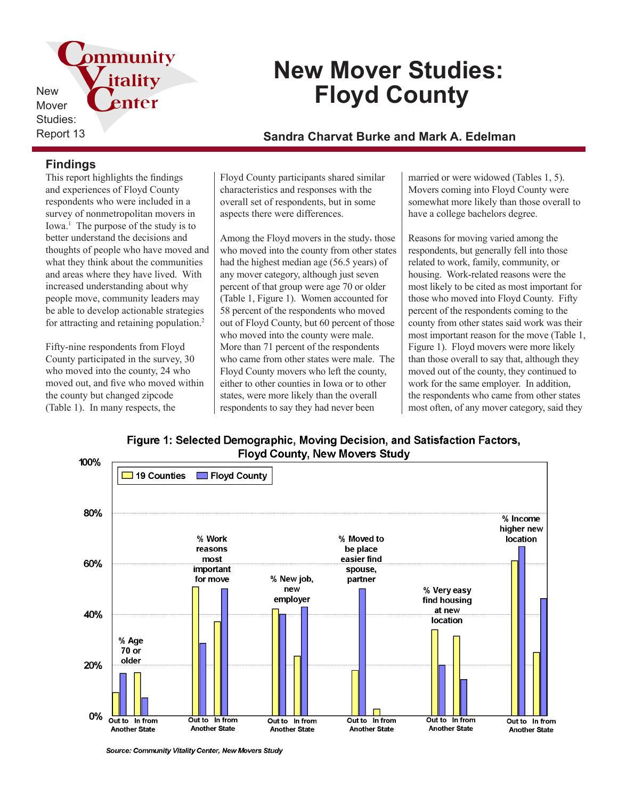pmmunity itality New enter Mover Studies:

# **New Mover Studies: Floyd County**

## Report 13 **Sandra Charvat Burke and Mark A. Edelman**

### **Findings**

This report highlights the findings and experiences of Floyd County respondents who were included in a survey of nonmetropolitan movers in Iowa.<sup>1</sup> The purpose of the study is to better understand the decisions and thoughts of people who have moved and what they think about the communities and areas where they have lived. With increased understanding about why people move, community leaders may be able to develop actionable strategies for attracting and retaining population.<sup>2</sup>

Fifty-nine respondents from Floyd County participated in the survey, 30 who moved into the county, 24 who moved out, and five who moved within the county but changed zipcode (Table 1). In many respects, the

Floyd County participants shared similar characteristics and responses with the overall set of respondents, but in some aspects there were differences.

Among the Floyd movers in the study, those who moved into the county from other states had the highest median age (56.5 years) of any mover category, although just seven percent of that group were age 70 or older (Table 1, Figure 1). Women accounted for 58 percent of the respondents who moved out of Floyd County, but 60 percent of those who moved into the county were male. More than 71 percent of the respondents who came from other states were male. The Floyd County movers who left the county, either to other counties in Iowa or to other states, were more likely than the overall respondents to say they had never been

married or were widowed (Tables 1, 5). Movers coming into Floyd County were somewhat more likely than those overall to have a college bachelors degree.

Reasons for moving varied among the respondents, but generally fell into those related to work, family, community, or housing. Work-related reasons were the most likely to be cited as most important for those who moved into Floyd County. Fifty percent of the respondents coming to the county from other states said work was their most important reason for the move (Table 1, Figure 1). Floyd movers were more likely than those overall to say that, although they moved out of the county, they continued to work for the same employer. In addition, the respondents who came from other states most often, of any mover category, said they

Figure 1: Selected Demographic, Moving Decision, and Satisfaction Factors, **Floyd County, New Movers Study** 



Source: Community Vitality Center, New Movers Study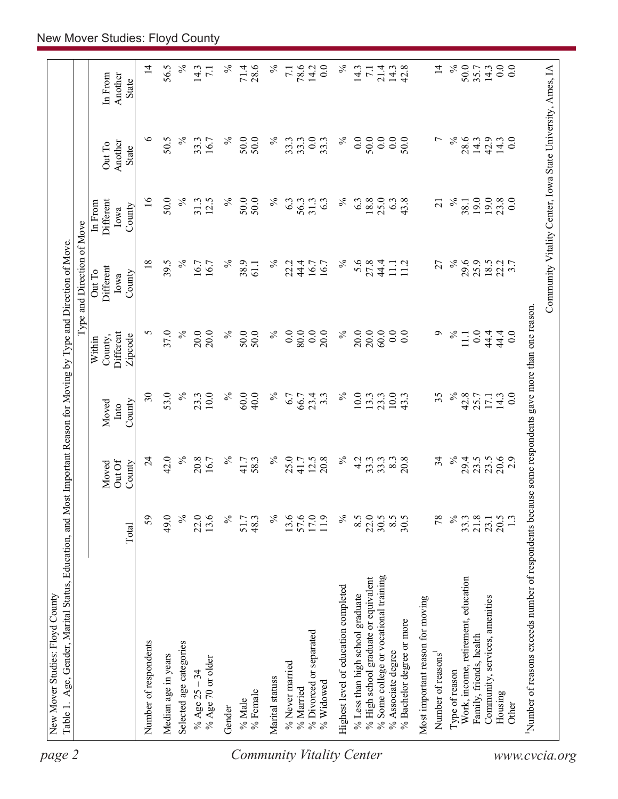| $\%$<br>$\%$<br>$\%$<br>$\%$<br>5.6<br>$\%$<br>29.6<br>25.9<br>$\frac{18.5}{22.7}$<br>$\overline{18}$<br>39.5<br>16.7<br>38.9<br>22.2<br>44.4<br>27.8<br>44.4<br>27<br>16.7<br>61.1<br>16.7<br>16.7<br>$11.1$<br>$11.2$<br><b>Different</b><br>Out To<br>County<br>Iowa<br>37.0<br>$\%$<br>0.0<br>20.0<br>20.0<br>5<br>20.0<br>$\%$<br>50.0<br>50.0<br>$\%$<br>0.0<br>80.0<br>$\%$<br>60.0<br>0.0<br>0.0<br>Ó<br>$\%$<br>0.0<br>20.0<br>20.0<br>44.4<br>Different<br>11.1<br>Zipcode<br>County,<br>Within<br>53.0<br>$\%$<br>$\%$<br>$\%$<br>$\lesssim$<br>$\overline{\mathcal{E}}$<br>10.0<br>60.0<br>40.0<br>$\%$<br>23.4<br>10.0<br>$10.0\,$<br>35<br>42.8<br>23.3<br>14.3<br>6.7<br>$3.\overline{3}$<br>13.3<br>23.3<br>43.3<br>25.7<br>66.7<br>17.1<br>County<br>Moved<br>Into<br>42.0<br>$\%$<br>$\%$<br>$\overline{24}$<br>20.8<br>$\%$<br>$\%$<br>25.0<br>20.8<br>4.2<br>20.8<br>34<br>$\%$<br>23.5<br>23.5<br>16.7<br>12.5<br>33.3<br>33.3<br>8.3<br>29.4<br>41.7<br>58.3<br>41.7<br>Out Of<br>County<br>Moved<br>59<br>$\%$<br>$\%$<br>49.0<br>22.0<br>13.6<br>$\%$<br>$\%$<br>13.6<br>57.6<br>$\widetilde{8.5}$<br>22.0<br>30.5<br>$8.5$<br>30.5<br>78<br>$\%$<br>21.8<br>48.3<br>11.9<br>33.3<br>51.7<br>23.1<br>Total<br>% Some college or vocational training<br>% High school graduate or equivalent<br>Work, income, retirement, education<br>Highest level of education completed<br>% Less than high school graduate<br>Community, services, amenities<br>Most important reason for moving<br>% Bachelor degree or more<br>% Divorced or separated<br>Family, friends, health<br>Number of respondents<br>Selected age categories<br>% Associate degree<br>Number of reasons <sup>1</sup><br>Median age in years<br>% Age 70 or older<br>% Never married<br>% Age $25 - 34$<br>Type of reason<br>Marital statuss<br>% Widowed<br>% Married<br>% Female<br>Housing<br>% Male<br>Gender | Type and Direction of Move |                                                            |                            |                                    |
|---------------------------------------------------------------------------------------------------------------------------------------------------------------------------------------------------------------------------------------------------------------------------------------------------------------------------------------------------------------------------------------------------------------------------------------------------------------------------------------------------------------------------------------------------------------------------------------------------------------------------------------------------------------------------------------------------------------------------------------------------------------------------------------------------------------------------------------------------------------------------------------------------------------------------------------------------------------------------------------------------------------------------------------------------------------------------------------------------------------------------------------------------------------------------------------------------------------------------------------------------------------------------------------------------------------------------------------------------------------------------------------------------------------------------------------------------------------------------------------------------------------------------------------------------------------------------------------------------------------------------------------------------------------------------------------------------------------------------------------------------------------------------------------------------------------------------------------------------------------------------------------------------------|----------------------------|------------------------------------------------------------|----------------------------|------------------------------------|
|                                                                                                                                                                                                                                                                                                                                                                                                                                                                                                                                                                                                                                                                                                                                                                                                                                                                                                                                                                                                                                                                                                                                                                                                                                                                                                                                                                                                                                                                                                                                                                                                                                                                                                                                                                                                                                                                                                         |                            | Different<br>In From<br>County<br>Iowa                     | Another<br>Out To<br>State | Another<br>In From<br><b>State</b> |
|                                                                                                                                                                                                                                                                                                                                                                                                                                                                                                                                                                                                                                                                                                                                                                                                                                                                                                                                                                                                                                                                                                                                                                                                                                                                                                                                                                                                                                                                                                                                                                                                                                                                                                                                                                                                                                                                                                         |                            | $\overline{16}$                                            | $\circ$                    | $\overline{4}$                     |
|                                                                                                                                                                                                                                                                                                                                                                                                                                                                                                                                                                                                                                                                                                                                                                                                                                                                                                                                                                                                                                                                                                                                                                                                                                                                                                                                                                                                                                                                                                                                                                                                                                                                                                                                                                                                                                                                                                         |                            | 50.0                                                       | 50.5                       | 56.5                               |
|                                                                                                                                                                                                                                                                                                                                                                                                                                                                                                                                                                                                                                                                                                                                                                                                                                                                                                                                                                                                                                                                                                                                                                                                                                                                                                                                                                                                                                                                                                                                                                                                                                                                                                                                                                                                                                                                                                         |                            | $\%$                                                       | $\%$                       | $\%$                               |
| <b>Community Vitality Center</b>                                                                                                                                                                                                                                                                                                                                                                                                                                                                                                                                                                                                                                                                                                                                                                                                                                                                                                                                                                                                                                                                                                                                                                                                                                                                                                                                                                                                                                                                                                                                                                                                                                                                                                                                                                                                                                                                        |                            | 31.3<br>12.5                                               | 33.3<br>16.7               | 14.3<br>$\overline{71}$            |
|                                                                                                                                                                                                                                                                                                                                                                                                                                                                                                                                                                                                                                                                                                                                                                                                                                                                                                                                                                                                                                                                                                                                                                                                                                                                                                                                                                                                                                                                                                                                                                                                                                                                                                                                                                                                                                                                                                         |                            | ℅                                                          | $\%$                       | $\%$                               |
|                                                                                                                                                                                                                                                                                                                                                                                                                                                                                                                                                                                                                                                                                                                                                                                                                                                                                                                                                                                                                                                                                                                                                                                                                                                                                                                                                                                                                                                                                                                                                                                                                                                                                                                                                                                                                                                                                                         |                            | 50.0<br>50.0                                               | 50.0<br>50.0               | 28.6<br>71.4                       |
|                                                                                                                                                                                                                                                                                                                                                                                                                                                                                                                                                                                                                                                                                                                                                                                                                                                                                                                                                                                                                                                                                                                                                                                                                                                                                                                                                                                                                                                                                                                                                                                                                                                                                                                                                                                                                                                                                                         |                            | $\%$                                                       | $\%$                       | $\%$                               |
|                                                                                                                                                                                                                                                                                                                                                                                                                                                                                                                                                                                                                                                                                                                                                                                                                                                                                                                                                                                                                                                                                                                                                                                                                                                                                                                                                                                                                                                                                                                                                                                                                                                                                                                                                                                                                                                                                                         |                            | 6.3                                                        | 33.3                       | $\overline{71}$                    |
|                                                                                                                                                                                                                                                                                                                                                                                                                                                                                                                                                                                                                                                                                                                                                                                                                                                                                                                                                                                                                                                                                                                                                                                                                                                                                                                                                                                                                                                                                                                                                                                                                                                                                                                                                                                                                                                                                                         |                            | 56.3<br>31.3                                               | 0.0<br>33.3                | 78.6<br>14.2                       |
|                                                                                                                                                                                                                                                                                                                                                                                                                                                                                                                                                                                                                                                                                                                                                                                                                                                                                                                                                                                                                                                                                                                                                                                                                                                                                                                                                                                                                                                                                                                                                                                                                                                                                                                                                                                                                                                                                                         |                            | 6.3                                                        | 33.3                       | 0.0                                |
|                                                                                                                                                                                                                                                                                                                                                                                                                                                                                                                                                                                                                                                                                                                                                                                                                                                                                                                                                                                                                                                                                                                                                                                                                                                                                                                                                                                                                                                                                                                                                                                                                                                                                                                                                                                                                                                                                                         |                            | $\%$                                                       | $\%$                       | $\%$                               |
|                                                                                                                                                                                                                                                                                                                                                                                                                                                                                                                                                                                                                                                                                                                                                                                                                                                                                                                                                                                                                                                                                                                                                                                                                                                                                                                                                                                                                                                                                                                                                                                                                                                                                                                                                                                                                                                                                                         |                            | 6.3                                                        | $\overline{0.0}$           | 14.3                               |
|                                                                                                                                                                                                                                                                                                                                                                                                                                                                                                                                                                                                                                                                                                                                                                                                                                                                                                                                                                                                                                                                                                                                                                                                                                                                                                                                                                                                                                                                                                                                                                                                                                                                                                                                                                                                                                                                                                         |                            | 18.8                                                       | 50.0                       | $\overline{71}$                    |
|                                                                                                                                                                                                                                                                                                                                                                                                                                                                                                                                                                                                                                                                                                                                                                                                                                                                                                                                                                                                                                                                                                                                                                                                                                                                                                                                                                                                                                                                                                                                                                                                                                                                                                                                                                                                                                                                                                         |                            | 25.0<br>6.3                                                | 0.0<br>0.0                 | $21.4$<br>$14.3$<br>$42.8$         |
|                                                                                                                                                                                                                                                                                                                                                                                                                                                                                                                                                                                                                                                                                                                                                                                                                                                                                                                                                                                                                                                                                                                                                                                                                                                                                                                                                                                                                                                                                                                                                                                                                                                                                                                                                                                                                                                                                                         |                            | 43.8                                                       | 50.0                       |                                    |
|                                                                                                                                                                                                                                                                                                                                                                                                                                                                                                                                                                                                                                                                                                                                                                                                                                                                                                                                                                                                                                                                                                                                                                                                                                                                                                                                                                                                                                                                                                                                                                                                                                                                                                                                                                                                                                                                                                         |                            |                                                            |                            |                                    |
|                                                                                                                                                                                                                                                                                                                                                                                                                                                                                                                                                                                                                                                                                                                                                                                                                                                                                                                                                                                                                                                                                                                                                                                                                                                                                                                                                                                                                                                                                                                                                                                                                                                                                                                                                                                                                                                                                                         |                            | $\overline{21}$                                            | $\overline{ }$             | $\overline{4}$                     |
|                                                                                                                                                                                                                                                                                                                                                                                                                                                                                                                                                                                                                                                                                                                                                                                                                                                                                                                                                                                                                                                                                                                                                                                                                                                                                                                                                                                                                                                                                                                                                                                                                                                                                                                                                                                                                                                                                                         |                            | $\%$                                                       | $\%$                       | $\%$                               |
|                                                                                                                                                                                                                                                                                                                                                                                                                                                                                                                                                                                                                                                                                                                                                                                                                                                                                                                                                                                                                                                                                                                                                                                                                                                                                                                                                                                                                                                                                                                                                                                                                                                                                                                                                                                                                                                                                                         |                            | 38.1                                                       | 28.6                       | 50.0                               |
|                                                                                                                                                                                                                                                                                                                                                                                                                                                                                                                                                                                                                                                                                                                                                                                                                                                                                                                                                                                                                                                                                                                                                                                                                                                                                                                                                                                                                                                                                                                                                                                                                                                                                                                                                                                                                                                                                                         |                            | 19.0                                                       | 14.3                       | 35.7                               |
|                                                                                                                                                                                                                                                                                                                                                                                                                                                                                                                                                                                                                                                                                                                                                                                                                                                                                                                                                                                                                                                                                                                                                                                                                                                                                                                                                                                                                                                                                                                                                                                                                                                                                                                                                                                                                                                                                                         | 44.4                       | 19.0                                                       | 42.9<br>14.3               | 0.0<br>14.3                        |
| 0.0<br>$\overline{0}$ .<br>20.6<br>$20.5$<br>1.3<br>Other                                                                                                                                                                                                                                                                                                                                                                                                                                                                                                                                                                                                                                                                                                                                                                                                                                                                                                                                                                                                                                                                                                                                                                                                                                                                                                                                                                                                                                                                                                                                                                                                                                                                                                                                                                                                                                               |                            | $23.8$<br>0.0                                              | 0.0                        | 0.0                                |
| Number of reasons exceeds number of respondents because some respondents gave more than one reason.                                                                                                                                                                                                                                                                                                                                                                                                                                                                                                                                                                                                                                                                                                                                                                                                                                                                                                                                                                                                                                                                                                                                                                                                                                                                                                                                                                                                                                                                                                                                                                                                                                                                                                                                                                                                     |                            |                                                            |                            |                                    |
| www.cvcia.org                                                                                                                                                                                                                                                                                                                                                                                                                                                                                                                                                                                                                                                                                                                                                                                                                                                                                                                                                                                                                                                                                                                                                                                                                                                                                                                                                                                                                                                                                                                                                                                                                                                                                                                                                                                                                                                                                           |                            | Community Vitality Center, Iowa State University, Ames, IA |                            |                                    |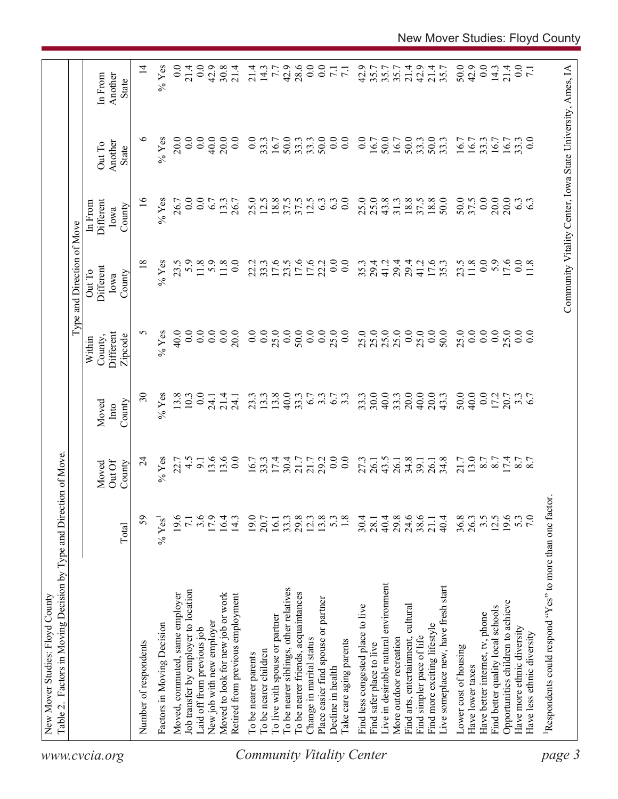|                                                         |                            |                                                        |                                                      |                                           | Type and Direction of Move            |                                                            |                            |                             |
|---------------------------------------------------------|----------------------------|--------------------------------------------------------|------------------------------------------------------|-------------------------------------------|---------------------------------------|------------------------------------------------------------|----------------------------|-----------------------------|
|                                                         | Total                      | Out Of<br>County<br>Moved                              | County<br>Moved<br>Into                              | Different<br>County,<br>Zipcode<br>Within | Different<br>Out To<br>County<br>Iowa | Different<br>In From<br>County<br>Iowa                     | Another<br>Out To<br>State | Another<br>In From<br>State |
| Number of respondents                                   | 59                         | $\overline{c}$                                         | $\mathfrak{S}$                                       | n                                         | 18                                    | $\tilde{16}$                                               | ७                          | $\vec{a}$                   |
| Factors in Moving Decision                              | $%$ Yes <sup>1</sup>       | $%$ Yes                                                | $%$ Yes                                              | $%$ Yes                                   | $\%$ Yes                              | $%$ Yes                                                    | $\%$ Yes                   | $%$ Yes                     |
| Moved, commuted, same employer                          | 19.6                       | 22.7                                                   | 13.8                                                 | 40.0                                      | 23.5                                  | 26.7                                                       | 20.0                       | $\overline{0.0}$            |
| Job transfer by employer to location                    | $7.1\,$                    | $\ddot{4}$                                             | 10.3                                                 | $\ddot{0}$ .                              |                                       | 0.0                                                        | 0.0                        | 21.4                        |
| Laid off from previous job                              | 3.6                        | $\overline{9}$ .                                       | 0.0                                                  | $\overline{0.0}$                          | 5.9<br>11.8                           | $\overline{0.0}$                                           | 0.0                        | $\overline{0}$ .            |
| New job with new employer                               | 17.9                       |                                                        |                                                      | $\overline{0.0}$                          | $5.9$<br>11.8                         | 6.7                                                        | 40.0                       | 42.9                        |
| Moved to look for new job or work                       | 16.4                       | $\frac{13.6}{13.0}$                                    | $714$<br>$714$<br>$741$                              | 0.0                                       |                                       | 13.3                                                       | 20.0                       | $30.8$<br>21.4              |
| Retired from previous employment                        | 14.3                       |                                                        |                                                      | 20.0                                      | 0.0                                   | 26.7                                                       | 0.0                        |                             |
| To be nearer parents                                    | 19.0                       |                                                        |                                                      |                                           | 22.2                                  | 25.0                                                       | $\overline{0.0}$           |                             |
| To be nearer children                                   | 20.7                       |                                                        |                                                      |                                           | 33.3                                  | 12.5                                                       | 33.3                       | $\frac{214}{14.7}$          |
| To live with spouse or partner                          | 16.1                       |                                                        |                                                      |                                           |                                       | 18.8                                                       | 16.7                       |                             |
| To be nearer siblings, other relatives                  | 33.3                       | $16.7$<br>$3.3$<br>$3.3$<br>$17.4$                     | $23.3$<br>$23.3$<br>$24.3$<br>$25.3$                 |                                           | $17.6$<br>23.5                        | 37.5                                                       | 50.0                       | 42.9                        |
| To be nearer friends, acquaintances                     |                            |                                                        |                                                      |                                           |                                       |                                                            | 33.3                       | 28.6                        |
| Change in marital status                                | $29.8$<br>$12.3$<br>$13.8$ | 21.7<br>21.7<br>29.2                                   |                                                      | $^{50.0}_{0.0}$                           | 17.6<br>17.6<br>22.2                  | $37.5$<br>12.5                                             | 33.3                       | $\overline{0}$ .            |
| Place easier find spouse or partner                     |                            |                                                        | 6.7                                                  | 0.0                                       |                                       | 6.3                                                        | 50.0                       | 0.00077                     |
| Decline in health                                       | $5.\overline{3}$<br>1.8    | $\overline{0.0}$                                       | 6.7                                                  | 25.0                                      | $\overline{0}$ .                      | 6.3                                                        | $\overline{0.0}$           |                             |
| Take care aging parents                                 |                            | $\overline{0}$ .                                       |                                                      |                                           | $\overline{0.0}$                      | $\overline{0.0}$                                           | $\overline{0}$ .           |                             |
| Find less congested place to live                       | 30.4                       | 27.3                                                   | 33.3                                                 |                                           | 35.3                                  |                                                            | $\overline{0.0}$           | 42.9                        |
| Find safer place to live                                | 28.1                       | 26.1                                                   | 30.0                                                 | $25.0$<br>$25.0$                          | 29.4                                  | $25.0$<br>$25.0$                                           | 16.7                       | 35.7                        |
| Live in desirable natural environment                   | 40.4                       | $43.5$<br>26.1                                         | 40.0                                                 | 25.0                                      | 41.2                                  | 43.8                                                       | 50.0                       | 35.7                        |
| More outdoor recreation                                 | 29.8                       |                                                        | 33.3                                                 |                                           | 29.4                                  | 31.3                                                       |                            | 35.7                        |
| Find arts, entertainment, cultural                      | 24.6                       | 34.8                                                   | 20.0                                                 | 0.0                                       | 29.4                                  | 18.8                                                       | 50.0                       | 21.4                        |
| Find simpler pace of life                               | $38.6$<br>21.1             | $39.1$<br>$26.1$                                       | $40.0$<br>20.0                                       | $25.0$<br>0.0                             | 41.2                                  | $37.5$<br>18.8                                             | 33.3                       | 42.9                        |
| Find more exciting lifestyle                            |                            |                                                        |                                                      |                                           | 17.6                                  |                                                            | 50.0                       | 21.4                        |
| Live someplace new, have fresh start                    | 40.4                       | 34.8                                                   | 43.3                                                 | 50.0                                      | 35.3                                  | 50.0                                                       | 33.3                       | 35.7                        |
| Lower cost of housing                                   | 36.8                       | $71.7$<br>$13.0$<br>$8.7$<br>$15.0$<br>$15.7$<br>$8.7$ | 50.0                                                 | 25.0                                      | 23.5                                  | 50.0                                                       | 16.7                       | 50.0                        |
| Have lower taxes                                        | $26.3$<br>$3.5$<br>$12.5$  |                                                        |                                                      | $\overline{0.0}$                          | 11.8                                  | 37.5                                                       | 16.7                       | 42.9                        |
| Have better internet, tv, phone                         |                            |                                                        |                                                      | 0.0                                       | 0.0                                   | 0.0                                                        | 33.3                       |                             |
| Find better quality local schools                       |                            |                                                        | $40.0$<br>$0.02$<br>$0.7$<br>$0.7$<br>$0.7$<br>$0.7$ | 0.0                                       | 5.9                                   | 20.0                                                       | 16.7                       | $\frac{0.0}{14.3}$          |
| Opportunities children to achieve                       | 19.6                       |                                                        |                                                      | 25.0                                      | 17.6                                  | 20.0                                                       | 16.7                       | 21.4                        |
| Have more ethnic diversity                              | 5.3                        |                                                        |                                                      | 0.0                                       | 0.0                                   | $6.\overline{3}$                                           | 33.3                       | $\frac{1}{2}$               |
| Have less ethnic diversity                              |                            |                                                        |                                                      | 0.0                                       |                                       |                                                            | $_{0.0}$                   |                             |
| Respondents could respond "Yes" to more than one factor |                            |                                                        |                                                      |                                           |                                       |                                                            |                            |                             |
|                                                         |                            |                                                        |                                                      |                                           |                                       | Community Vitality Center, Iowa State University, Ames, IA |                            |                             |
|                                                         |                            |                                                        |                                                      |                                           |                                       |                                                            |                            |                             |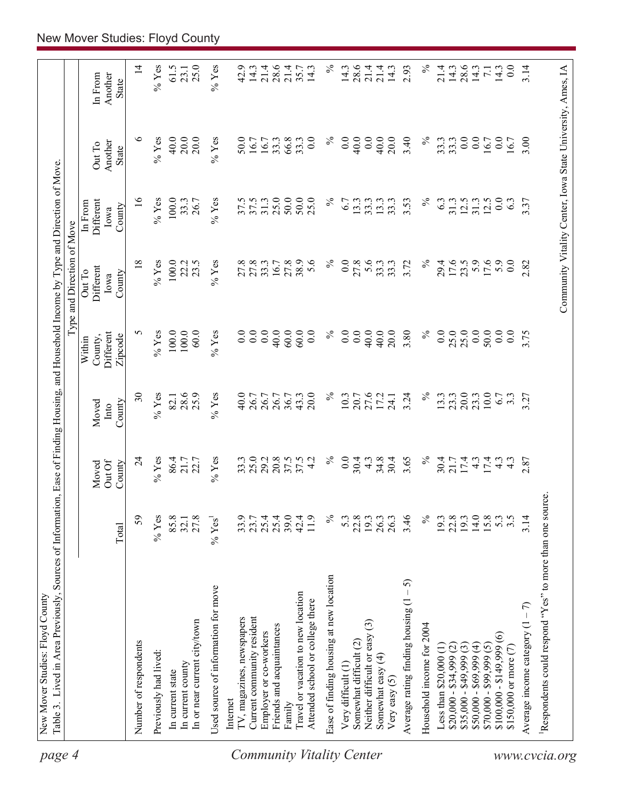| page 4                           | Table 3. Lived in Area Previously, Sources of Information, Ease of Finding Housing, and Household Income by Type and Direction of Move |                                      |                                |                          |                                           | Type and Direction of Move                                 |                                        |                            |                                    |
|----------------------------------|----------------------------------------------------------------------------------------------------------------------------------------|--------------------------------------|--------------------------------|--------------------------|-------------------------------------------|------------------------------------------------------------|----------------------------------------|----------------------------|------------------------------------|
|                                  |                                                                                                                                        | Total                                | Out Of<br>County<br>Moved      | Moved<br>County<br>Into  | Different<br>County,<br>Zipcode<br>Within | Different<br>Out To<br>County<br>Iowa                      | Different<br>In From<br>County<br>Iowa | Another<br>Out To<br>State | Another<br>In From<br><b>State</b> |
|                                  | Number of respondents                                                                                                                  | 59                                   | $\overline{24}$                | $\overline{\mathbf{30}}$ | S                                         | $\frac{8}{18}$                                             | $\frac{6}{2}$                          | ৩                          | $\vec{v}$                          |
|                                  | Previously had lived:                                                                                                                  | $%$ Yes                              | $%$ Yes                        | $%$ Yes                  | $\%$ Yes                                  | $%$ Yes                                                    | $\%$ Yes                               | $%$ Yes                    | $%$ Yes                            |
|                                  | In current state                                                                                                                       | 85.8                                 | 86.4                           | 82.1                     | $100.0$                                   | 100.0                                                      | 100.0                                  | 40.0                       | 61.5                               |
|                                  | In current county                                                                                                                      | 32.1                                 |                                |                          | 100.0                                     | 22.2                                                       | 33.3                                   | 20.0                       | 23.1                               |
|                                  | In or near current city/town                                                                                                           | 27.8                                 | $21.7$<br>$22.7$               | 28.6                     | 60.0                                      | 23.5                                                       | 26.7                                   | 20.0                       | 25.0                               |
|                                  | Used source of information for move                                                                                                    | $\%$ Yes <sup>1</sup>                | $\%$ Yes                       | $\%$ Yes                 | $%$ Yes                                   | $\%$ Yes                                                   | $%$ Yes                                | $\%$ Yes                   | $%$ Yes                            |
|                                  | Internet                                                                                                                               |                                      |                                |                          |                                           |                                                            |                                        |                            |                                    |
|                                  | TV, magazines, newspapers                                                                                                              | 33.9                                 | 33.3                           | 40.0                     | 0.0                                       | $27.8$<br>27.8                                             |                                        | 50.0<br>16.7               | 42.9                               |
|                                  | Current community resident                                                                                                             | 23.7                                 | 25.0                           | 26.7                     | 0.0                                       |                                                            | $37.5$<br>$37.5$<br>$31.3$             |                            | 14.3                               |
|                                  | Employer or co-workers                                                                                                                 | 25.4                                 | 29.2                           | 26.7                     | 0.0                                       | 33.3<br>16.7                                               |                                        | 16.7<br>33.3               | 21.4                               |
|                                  | Friends and acquaintances                                                                                                              | 25.4                                 | 20.8                           | 26.7                     | 40.0                                      |                                                            | 25.0                                   |                            | 28.6                               |
|                                  | Family                                                                                                                                 | 39.0                                 | 37.5                           | 36.7                     | 60.0                                      | 27.8                                                       | 50.0                                   | 66.8                       | 21.4                               |
| <b>Community Vitality Center</b> | Travel or vacation to new location<br>Attended school or college there                                                                 | 11.9<br>42.4                         | 37.5<br>4.2                    | 43.3<br>20.0             | 60.0<br>0.0                               | 38.9<br>5.6                                                | 50.0<br>25.0                           | 33.3<br>0.0                | $35.7$<br>14.3                     |
|                                  | Ease of finding housing at new location                                                                                                | $\%$                                 | $\%$                           | $\%$                     | $\%$                                      | $\%$                                                       | $\%$                                   | $\%$                       | $\%$                               |
|                                  | Very difficult (1)                                                                                                                     | 5.3                                  | $\overline{0.0}$               | 10.3                     | 0.0                                       | 0.0                                                        | 6.7                                    | 0.0                        | 14.3                               |
|                                  | Somewhat difficult (2)                                                                                                                 | 22.8                                 | 30.4                           | 20.7                     | 0.0                                       | 27.8                                                       | 13.3                                   | 40.0                       | 28.6                               |
|                                  | ⊙<br>Neither difficult or easy                                                                                                         | 19.3                                 | $\frac{3}{4}$                  | 27.6                     | 40.0                                      | 5.6                                                        | 33.3                                   | 0.0                        | 21.4                               |
|                                  | Somewhat easy (4)<br>Very easy $(5)$                                                                                                   | 26.3<br>26.3                         | $34.8$<br>30.4                 | 24.1                     | 40.0<br>20.0                              | 33.3                                                       | 33.3<br>13.3                           | 40.0<br>20.0               | 21.4<br>14.3                       |
|                                  | $-5$<br>Average rating finding housing (1                                                                                              | 3.46                                 | 3.65                           | 3.24                     | 3.80                                      | 3.72                                                       | 3.53                                   | 3.40                       | 2.93                               |
|                                  | Household income for 2004                                                                                                              | $\%$                                 | $\%$                           | $\%$                     | $\%$                                      | $\%$                                                       | $\%$                                   | $\%$                       | $\%$                               |
|                                  | Less than $$20,000$ $(1)$                                                                                                              | 19.3                                 | 30.4                           |                          | 0.0                                       | 29.4                                                       | 6.3                                    | 33.3                       | 21.4                               |
|                                  | $$20,000 - $34,999 (2)$                                                                                                                | 22.8                                 | $21.7$<br>$17.4$               | $13.3$<br>$23.3$         | 25.0                                      | 17.6                                                       | 31.3                                   | 33.3                       | 14.3                               |
|                                  | $$35,000 - $49,999(3)$                                                                                                                 | 19.3                                 |                                |                          | 25.0                                      |                                                            | 12.5                                   | 0.0                        | 28.6                               |
|                                  | $$50,000 - $69,999 (4)$                                                                                                                | 14.0                                 | $\frac{4}{7}$ 4.               | $23.3$<br>10.0           | 0.0                                       | $5.9$<br>17.6                                              | 31.3                                   | 0.0                        |                                    |
|                                  | $$70,000 - $99,999(5)$                                                                                                                 | 15.8                                 |                                |                          | 50.0                                      |                                                            | 12.5                                   | 16.7                       | $7.1\,$                            |
|                                  | $\odot$<br>$$100,000 - $149,999$<br>\$150,000 or more (7)                                                                              | $5.\overline{3}$<br>$3.\overline{5}$ | $\frac{3}{4}$<br>$\frac{3}{4}$ | 6.7<br>$3.\overline{3}$  | 0.0<br>0.0                                | 0.0<br>5.9                                                 | 0.0<br>6.3                             | 0.0<br>16.7                | 0.0<br>14.3                        |
|                                  |                                                                                                                                        |                                      |                                |                          |                                           |                                                            |                                        |                            |                                    |
|                                  | Average income category $(1 - 7)$                                                                                                      | 3.14                                 | 2.87                           | 3.27                     | 3.75                                      | 2.82                                                       | 3.37                                   | 3.00                       | 3.14                               |
| www.cvcia.org                    | Respondents could respond "Yes" to more than one source                                                                                |                                      |                                |                          |                                           |                                                            |                                        |                            |                                    |
|                                  |                                                                                                                                        |                                      |                                |                          |                                           | Community Vitality Center, Iowa State University, Ames, IA |                                        |                            |                                    |
|                                  |                                                                                                                                        |                                      |                                |                          |                                           |                                                            |                                        |                            |                                    |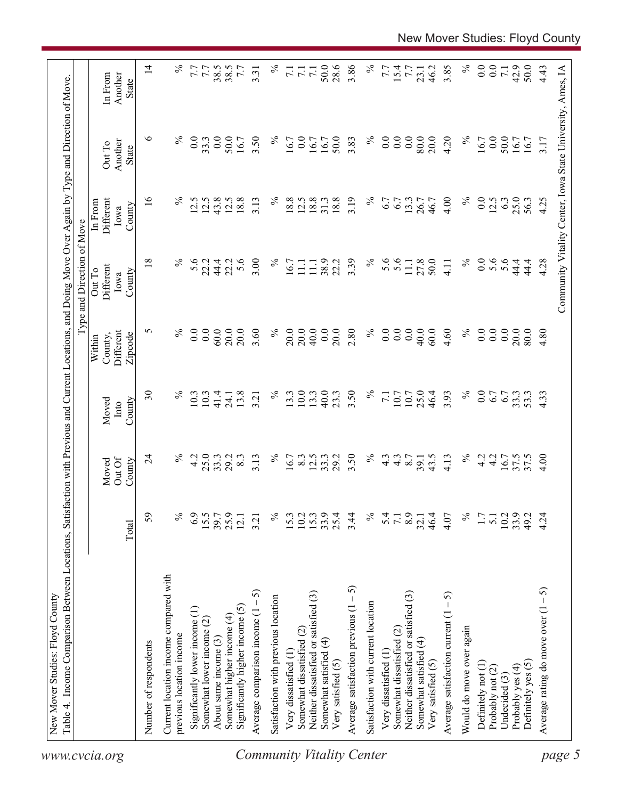|                                  |                                                                   |             |                  |                          |                                | Type and Direction of Move                                 |                              |                   |                    |
|----------------------------------|-------------------------------------------------------------------|-------------|------------------|--------------------------|--------------------------------|------------------------------------------------------------|------------------------------|-------------------|--------------------|
| www.cvcia.org                    |                                                                   |             | Out Of<br>Moved  | Moved<br>Into            | Different<br>County,<br>Within | Different<br>Out To<br>Iowa                                | Different<br>In From<br>Iowa | Another<br>Out To | Another<br>In From |
|                                  |                                                                   | Total       | County           | County                   | Zipcode                        | County                                                     | County                       | State             | State              |
|                                  | Number of respondents                                             | 59          | $\overline{24}$  | $\overline{\mathcal{E}}$ | 5                              | 18                                                         | $\overline{16}$              | ७                 | $\overline{1}$     |
|                                  | Current location income compared with<br>previous location income | $\%$        | $\%$             | $\%$                     | $\%$                           | $\%$                                                       | $\%$                         | $\%$              |                    |
|                                  |                                                                   |             |                  |                          |                                |                                                            |                              |                   |                    |
|                                  | Significantly lower income (1)                                    | 6.9<br>15.5 | 25.0<br>4.2      | 10.3<br>10.3             | 0.0<br>0.0                     | 5.6<br>22.2                                                | 12.5<br>12.5                 | 0.0<br>33.3       | 7.7<br>7.7         |
|                                  | Somewhat lower income $(2)$<br>About same income (3)              | 39.7        | 33.3             | 41.4                     | $60.0$                         | 44.4                                                       | 43.8                         | 0.0               | 38.5               |
|                                  | Somewhat higher income (4)                                        | 25.9        | 29.2             | 24.1                     | 20.0                           | 22.2                                                       | 12.5                         | 50.0              | 38.5               |
|                                  | Significantly higher income $(5)$                                 | 12.1        | 8.3              | 13.8                     | 20.0                           | 5.6                                                        | 18.8                         | 16.7              | 7.7                |
|                                  | 5<br>Average comparison income (1 -                               | 3.21        | 3.13             | 3.21                     | 3.60                           | 3.00                                                       | 3.13                         | 3.50              | 3.31               |
|                                  | Satisfaction with previous location                               | $\%$        | $\%$             | $\%$                     | $\%$                           | $\%$                                                       | $\%$                         | $\%$              | $\%$               |
|                                  | Very dissatisfied (1                                              | 15.3        | 16.7             | 13.3                     | 20.0                           | 16.7                                                       | 18.8                         | 16.7              |                    |
|                                  | Somewhat dissatisfied (2)                                         | 10.2        | 8.3              | 10.0                     | 20.0                           | $\Xi$                                                      | 12.5                         | 0.0               | 7.1                |
|                                  | Neither dissatisfied or satisfied (3)                             | 15.3        | 12.5             | 13.3                     | 40.0                           | $\Xi$                                                      | 18.8                         | 16.7              | $\overline{71}$    |
|                                  | Somewhat satisfied (4)                                            | 33.9        | 33.3             | 40.0                     | 0.0                            | 38.9                                                       | 31.3                         | 16.7              | 50.0               |
|                                  | Very satisfied (5)                                                | 25.4        | 29.2             | 23.3                     | 20.0                           | 22.2                                                       | 18.8                         | 50.0              | 28.6               |
|                                  | Average satisfaction previous $(1 - 5)$                           | 3.44        | 3.50             | 3.50                     | 2.80                           | 3.39                                                       | 3.19                         | 3.83              | 3.86               |
| <b>Community Vitality Center</b> | Satisfaction with current location                                | $\%$        | $\%$             | $\%$                     | $\%$                           | $\%$                                                       | ℅                            | $\%$              | $\%$               |
|                                  | Very dissatisfied (1                                              |             | $4.\overline{3}$ | $\overline{7.1}$         | 0.0                            | 5.6                                                        | 6.7                          | $\overline{0}$ .  | 7.7                |
|                                  | Somewhat dissatisfied (2)                                         | 5.1         | $4.\overline{3}$ | 10.7                     | 0.0                            | 5.6                                                        | 67                           | $\overline{0}$ .  |                    |
|                                  | Neither dissatisfied or satisfied (3)                             | 8.9         | 8.7              | 10.7                     | 0.0                            | 11.1                                                       | 13.3                         | 0.0               | 15.4               |
|                                  | Somewhat satisfied (4)                                            | 32.1        | 39.1             | 25.0                     | 40.0                           | 27.8                                                       |                              | 80.0              | 23.1               |
|                                  | Very satisfied (5)                                                | 46.4        | 43.5             | 46.4                     | 60.0                           | 50.0                                                       | 46.7                         | 20.0              | 46.2               |
|                                  | Average satisfaction current $(1 - 5)$                            | 4.07        | 4.13             | 3.93                     | 4.60                           | 4.11                                                       | 4.00                         | 4.20              | 3.85               |
|                                  | Would do move over again                                          | $\%$        | $\%$             | $\%$                     | $\%$                           | $\%$                                                       | $\%$                         | $\%$              |                    |
|                                  | Definitely not (1)                                                | 1.7         | 4.2              | $_{0.0}$                 | 0.0                            | 0.0                                                        | 0.0                          | 16.7              | 0.0                |
|                                  | Probably not (2)                                                  | 5.1         | 4.2              | 6.7                      | 0.0                            | 5.6                                                        | 12.5                         | 0.0               | 0.0                |
|                                  | Undecided (3)                                                     | 10.2        |                  | 6.7                      | $0.0\,$                        | 5.6                                                        | 6.3                          | 50.0              | $\overline{7.1}$   |
|                                  | Probably yes (4)                                                  | 33.9        | 16.7<br>37.5     | 33.3<br>53.3             | 20.0                           | 44.4                                                       | 25.0                         | 16.7              | 42.9               |
|                                  | Definitely yes (5)                                                | 49.2        | 37.5             |                          | 80.0                           | 44.4                                                       | 56.3                         | 16.7              | 50.0               |
|                                  | Average rating do move over $(1 - 5)$                             | 4.24        | 4.00             | 4.33                     | 4.80                           | 4.28                                                       | 4.25                         | 3.17              | 4.43               |
| page 5                           |                                                                   |             |                  |                          |                                | Community Vitality Center, Iowa State University, Ames, IA |                              |                   |                    |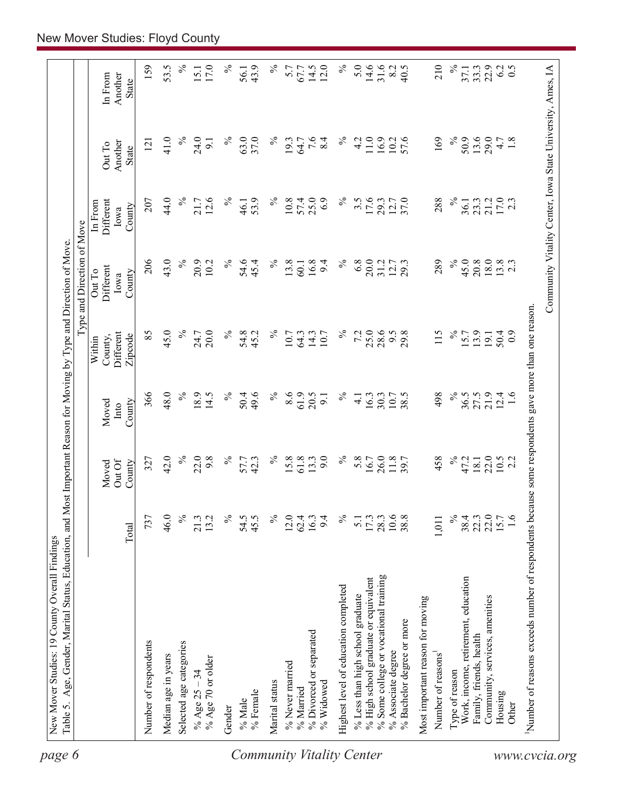| $\%$<br>$\%$<br>$\%$<br>5.0<br>31.6<br>$\%$<br>Community Vitality Center, Iowa State University, Ames, IA<br>159<br>53.5<br>17.0<br>43.9<br>5.7<br>14.5<br>8.2<br>210<br>22.9<br>6.2<br>0.5<br>67.7<br>33.3<br>15.1<br>37.1<br>56.1<br>Another<br>In From<br>State<br>7.6<br>41.0<br>$\%$<br>24.0<br>$\%$<br>63.0<br>$\%$<br>$\%$<br>11.0<br>169<br>$\%$<br>50.9<br>13.6<br>29.0<br>37.0<br>8.4<br>4.2<br>16.9<br>57.6<br>4.7<br>1.8<br>19.3<br>10.2<br>64.7<br>121<br>$\overline{5}$<br>Another<br>Out To<br><b>State</b><br>$\%$<br>44.0<br>12.6<br>$\%$<br>$\%$<br>25.0<br>$\%$<br>17.6<br>$\%$<br>$17.0$<br>2.3<br>53.9<br>10.8<br>57.4<br>6.9<br>$3.\overline{5}$<br>12.7<br>37.0<br>288<br>21.2<br>207<br>21.7<br>29.3<br>23.3<br>36.1<br>Different<br>46.1<br>In From<br>County<br>Iowa<br>43.0<br>$\%$<br>$\%$<br>$\%$<br>$\%$<br>$\%$<br>6.8<br>20.0<br>45.0<br>18.0<br>$13.8$<br>2.3<br>206<br>20.9<br>54.6<br>45.4<br>13.8<br>16.8<br>9.4<br>31.2<br>12.7<br>289<br>20.8<br>10.2<br>29.3<br>60.1<br>Different<br>Out To<br>County<br>Iowa<br>Number of reasons exceeds number of respondents because some respondents gave more than one reason.<br>45.0<br>85<br>$\%$<br>$\%$<br>25.0<br>28.6<br>20.0<br>$\%$<br>54.8<br>$\%$<br>7.2<br>9.5<br>115<br>$\%$<br>13.9<br>24.7<br>10.7<br>14.3<br>29.8<br>15.7<br>50.4<br>45.2<br>64.3<br>10.7<br>Different<br>19.1<br>Zipcode<br>County,<br>Within<br>48.0<br>$\%$<br>$\%$<br>$\lesssim$<br>18.9<br>$\%$<br>49.6<br>8.6<br>61.9<br>$\%$<br>498<br>36.5<br>21.9<br>366<br>14.5<br>50.4<br>20.5<br>10.7<br>38.5<br>27.5<br>12.4<br>1.6<br>16.3<br>30.3<br>9.1<br>$\overline{4}$ .<br>County<br>Moved<br>Into<br>42.0<br>$\%$<br>22.0<br>9.8<br>$\%$<br>$\%$<br>9.0<br>$\%$<br>458<br>$\%$<br>22.0<br>57.7<br>42.3<br>15.8<br>61.8<br>13.3<br>5.8<br>26.0<br>11.8<br>47.2<br>$10.5$<br>2.2<br>327<br>16.7<br>18.1<br>Out Of<br>County<br>Moved<br>$\%$<br>737<br>46.0<br>$\%$<br>13.2<br>$\%$<br>54.5<br>45.5<br>$\%$<br>$\%$<br>10.6<br>38.8<br>22.0<br>1.6<br>21.3<br>12.0<br>9.4<br>17.3<br>28.3<br>38.4<br>15.7<br>62.4<br>16.3<br>1,011<br>22.3<br>$\overline{5}$ .<br>Total<br>% Some college or vocational training<br>% High school graduate or equivalent<br>Work, income, retirement, education<br>Highest level of education completed<br>% Less than high school graduate<br>Community, services, amenities<br>Most important reason for moving<br>% Bachelor degree or more<br>% Divorced or separated<br>Family, friends, health<br>Number of respondents<br>Selected age categories<br>% Associate degree<br>Number of reasons <sup>1</sup><br>Median age in years<br>% Age 70 or older<br>% Never married<br>Type of reason<br>% Age $25 - 34$<br>Marital status<br>% Widowed<br>% Married<br>% Female<br>Housing<br>% Male<br>Other<br>Gender | page 6 |  |  | Type and Direction of Move |  |      |
|----------------------------------------------------------------------------------------------------------------------------------------------------------------------------------------------------------------------------------------------------------------------------------------------------------------------------------------------------------------------------------------------------------------------------------------------------------------------------------------------------------------------------------------------------------------------------------------------------------------------------------------------------------------------------------------------------------------------------------------------------------------------------------------------------------------------------------------------------------------------------------------------------------------------------------------------------------------------------------------------------------------------------------------------------------------------------------------------------------------------------------------------------------------------------------------------------------------------------------------------------------------------------------------------------------------------------------------------------------------------------------------------------------------------------------------------------------------------------------------------------------------------------------------------------------------------------------------------------------------------------------------------------------------------------------------------------------------------------------------------------------------------------------------------------------------------------------------------------------------------------------------------------------------------------------------------------------------------------------------------------------------------------------------------------------------------------------------------------------------------------------------------------------------------------------------------------------------------------------------------------------------------------------------------------------------------------------------------------------------------------------------------------------------------------------------------------------------------------------------------------------------------------------------------------------------------------------------------------------------------------------------------------------------------------------------------------------------------------------------------------------------------------------------------------------------------|--------|--|--|----------------------------|--|------|
|                                                                                                                                                                                                                                                                                                                                                                                                                                                                                                                                                                                                                                                                                                                                                                                                                                                                                                                                                                                                                                                                                                                                                                                                                                                                                                                                                                                                                                                                                                                                                                                                                                                                                                                                                                                                                                                                                                                                                                                                                                                                                                                                                                                                                                                                                                                                                                                                                                                                                                                                                                                                                                                                                                                                                                                                                      |        |  |  |                            |  |      |
|                                                                                                                                                                                                                                                                                                                                                                                                                                                                                                                                                                                                                                                                                                                                                                                                                                                                                                                                                                                                                                                                                                                                                                                                                                                                                                                                                                                                                                                                                                                                                                                                                                                                                                                                                                                                                                                                                                                                                                                                                                                                                                                                                                                                                                                                                                                                                                                                                                                                                                                                                                                                                                                                                                                                                                                                                      |        |  |  |                            |  |      |
|                                                                                                                                                                                                                                                                                                                                                                                                                                                                                                                                                                                                                                                                                                                                                                                                                                                                                                                                                                                                                                                                                                                                                                                                                                                                                                                                                                                                                                                                                                                                                                                                                                                                                                                                                                                                                                                                                                                                                                                                                                                                                                                                                                                                                                                                                                                                                                                                                                                                                                                                                                                                                                                                                                                                                                                                                      |        |  |  |                            |  |      |
|                                                                                                                                                                                                                                                                                                                                                                                                                                                                                                                                                                                                                                                                                                                                                                                                                                                                                                                                                                                                                                                                                                                                                                                                                                                                                                                                                                                                                                                                                                                                                                                                                                                                                                                                                                                                                                                                                                                                                                                                                                                                                                                                                                                                                                                                                                                                                                                                                                                                                                                                                                                                                                                                                                                                                                                                                      |        |  |  |                            |  |      |
| Community Vitality Center<br>www.cvcia.org                                                                                                                                                                                                                                                                                                                                                                                                                                                                                                                                                                                                                                                                                                                                                                                                                                                                                                                                                                                                                                                                                                                                                                                                                                                                                                                                                                                                                                                                                                                                                                                                                                                                                                                                                                                                                                                                                                                                                                                                                                                                                                                                                                                                                                                                                                                                                                                                                                                                                                                                                                                                                                                                                                                                                                           |        |  |  |                            |  |      |
|                                                                                                                                                                                                                                                                                                                                                                                                                                                                                                                                                                                                                                                                                                                                                                                                                                                                                                                                                                                                                                                                                                                                                                                                                                                                                                                                                                                                                                                                                                                                                                                                                                                                                                                                                                                                                                                                                                                                                                                                                                                                                                                                                                                                                                                                                                                                                                                                                                                                                                                                                                                                                                                                                                                                                                                                                      |        |  |  |                            |  |      |
|                                                                                                                                                                                                                                                                                                                                                                                                                                                                                                                                                                                                                                                                                                                                                                                                                                                                                                                                                                                                                                                                                                                                                                                                                                                                                                                                                                                                                                                                                                                                                                                                                                                                                                                                                                                                                                                                                                                                                                                                                                                                                                                                                                                                                                                                                                                                                                                                                                                                                                                                                                                                                                                                                                                                                                                                                      |        |  |  |                            |  |      |
|                                                                                                                                                                                                                                                                                                                                                                                                                                                                                                                                                                                                                                                                                                                                                                                                                                                                                                                                                                                                                                                                                                                                                                                                                                                                                                                                                                                                                                                                                                                                                                                                                                                                                                                                                                                                                                                                                                                                                                                                                                                                                                                                                                                                                                                                                                                                                                                                                                                                                                                                                                                                                                                                                                                                                                                                                      |        |  |  |                            |  |      |
|                                                                                                                                                                                                                                                                                                                                                                                                                                                                                                                                                                                                                                                                                                                                                                                                                                                                                                                                                                                                                                                                                                                                                                                                                                                                                                                                                                                                                                                                                                                                                                                                                                                                                                                                                                                                                                                                                                                                                                                                                                                                                                                                                                                                                                                                                                                                                                                                                                                                                                                                                                                                                                                                                                                                                                                                                      |        |  |  |                            |  |      |
|                                                                                                                                                                                                                                                                                                                                                                                                                                                                                                                                                                                                                                                                                                                                                                                                                                                                                                                                                                                                                                                                                                                                                                                                                                                                                                                                                                                                                                                                                                                                                                                                                                                                                                                                                                                                                                                                                                                                                                                                                                                                                                                                                                                                                                                                                                                                                                                                                                                                                                                                                                                                                                                                                                                                                                                                                      |        |  |  |                            |  |      |
|                                                                                                                                                                                                                                                                                                                                                                                                                                                                                                                                                                                                                                                                                                                                                                                                                                                                                                                                                                                                                                                                                                                                                                                                                                                                                                                                                                                                                                                                                                                                                                                                                                                                                                                                                                                                                                                                                                                                                                                                                                                                                                                                                                                                                                                                                                                                                                                                                                                                                                                                                                                                                                                                                                                                                                                                                      |        |  |  |                            |  | 12.0 |
|                                                                                                                                                                                                                                                                                                                                                                                                                                                                                                                                                                                                                                                                                                                                                                                                                                                                                                                                                                                                                                                                                                                                                                                                                                                                                                                                                                                                                                                                                                                                                                                                                                                                                                                                                                                                                                                                                                                                                                                                                                                                                                                                                                                                                                                                                                                                                                                                                                                                                                                                                                                                                                                                                                                                                                                                                      |        |  |  |                            |  | $\%$ |
|                                                                                                                                                                                                                                                                                                                                                                                                                                                                                                                                                                                                                                                                                                                                                                                                                                                                                                                                                                                                                                                                                                                                                                                                                                                                                                                                                                                                                                                                                                                                                                                                                                                                                                                                                                                                                                                                                                                                                                                                                                                                                                                                                                                                                                                                                                                                                                                                                                                                                                                                                                                                                                                                                                                                                                                                                      |        |  |  |                            |  |      |
|                                                                                                                                                                                                                                                                                                                                                                                                                                                                                                                                                                                                                                                                                                                                                                                                                                                                                                                                                                                                                                                                                                                                                                                                                                                                                                                                                                                                                                                                                                                                                                                                                                                                                                                                                                                                                                                                                                                                                                                                                                                                                                                                                                                                                                                                                                                                                                                                                                                                                                                                                                                                                                                                                                                                                                                                                      |        |  |  |                            |  | 14.6 |
|                                                                                                                                                                                                                                                                                                                                                                                                                                                                                                                                                                                                                                                                                                                                                                                                                                                                                                                                                                                                                                                                                                                                                                                                                                                                                                                                                                                                                                                                                                                                                                                                                                                                                                                                                                                                                                                                                                                                                                                                                                                                                                                                                                                                                                                                                                                                                                                                                                                                                                                                                                                                                                                                                                                                                                                                                      |        |  |  |                            |  |      |
|                                                                                                                                                                                                                                                                                                                                                                                                                                                                                                                                                                                                                                                                                                                                                                                                                                                                                                                                                                                                                                                                                                                                                                                                                                                                                                                                                                                                                                                                                                                                                                                                                                                                                                                                                                                                                                                                                                                                                                                                                                                                                                                                                                                                                                                                                                                                                                                                                                                                                                                                                                                                                                                                                                                                                                                                                      |        |  |  |                            |  | 40.5 |
|                                                                                                                                                                                                                                                                                                                                                                                                                                                                                                                                                                                                                                                                                                                                                                                                                                                                                                                                                                                                                                                                                                                                                                                                                                                                                                                                                                                                                                                                                                                                                                                                                                                                                                                                                                                                                                                                                                                                                                                                                                                                                                                                                                                                                                                                                                                                                                                                                                                                                                                                                                                                                                                                                                                                                                                                                      |        |  |  |                            |  |      |
|                                                                                                                                                                                                                                                                                                                                                                                                                                                                                                                                                                                                                                                                                                                                                                                                                                                                                                                                                                                                                                                                                                                                                                                                                                                                                                                                                                                                                                                                                                                                                                                                                                                                                                                                                                                                                                                                                                                                                                                                                                                                                                                                                                                                                                                                                                                                                                                                                                                                                                                                                                                                                                                                                                                                                                                                                      |        |  |  |                            |  |      |
|                                                                                                                                                                                                                                                                                                                                                                                                                                                                                                                                                                                                                                                                                                                                                                                                                                                                                                                                                                                                                                                                                                                                                                                                                                                                                                                                                                                                                                                                                                                                                                                                                                                                                                                                                                                                                                                                                                                                                                                                                                                                                                                                                                                                                                                                                                                                                                                                                                                                                                                                                                                                                                                                                                                                                                                                                      |        |  |  |                            |  |      |
|                                                                                                                                                                                                                                                                                                                                                                                                                                                                                                                                                                                                                                                                                                                                                                                                                                                                                                                                                                                                                                                                                                                                                                                                                                                                                                                                                                                                                                                                                                                                                                                                                                                                                                                                                                                                                                                                                                                                                                                                                                                                                                                                                                                                                                                                                                                                                                                                                                                                                                                                                                                                                                                                                                                                                                                                                      |        |  |  |                            |  |      |
|                                                                                                                                                                                                                                                                                                                                                                                                                                                                                                                                                                                                                                                                                                                                                                                                                                                                                                                                                                                                                                                                                                                                                                                                                                                                                                                                                                                                                                                                                                                                                                                                                                                                                                                                                                                                                                                                                                                                                                                                                                                                                                                                                                                                                                                                                                                                                                                                                                                                                                                                                                                                                                                                                                                                                                                                                      |        |  |  |                            |  |      |
|                                                                                                                                                                                                                                                                                                                                                                                                                                                                                                                                                                                                                                                                                                                                                                                                                                                                                                                                                                                                                                                                                                                                                                                                                                                                                                                                                                                                                                                                                                                                                                                                                                                                                                                                                                                                                                                                                                                                                                                                                                                                                                                                                                                                                                                                                                                                                                                                                                                                                                                                                                                                                                                                                                                                                                                                                      |        |  |  |                            |  |      |
|                                                                                                                                                                                                                                                                                                                                                                                                                                                                                                                                                                                                                                                                                                                                                                                                                                                                                                                                                                                                                                                                                                                                                                                                                                                                                                                                                                                                                                                                                                                                                                                                                                                                                                                                                                                                                                                                                                                                                                                                                                                                                                                                                                                                                                                                                                                                                                                                                                                                                                                                                                                                                                                                                                                                                                                                                      |        |  |  |                            |  |      |
|                                                                                                                                                                                                                                                                                                                                                                                                                                                                                                                                                                                                                                                                                                                                                                                                                                                                                                                                                                                                                                                                                                                                                                                                                                                                                                                                                                                                                                                                                                                                                                                                                                                                                                                                                                                                                                                                                                                                                                                                                                                                                                                                                                                                                                                                                                                                                                                                                                                                                                                                                                                                                                                                                                                                                                                                                      |        |  |  |                            |  |      |
|                                                                                                                                                                                                                                                                                                                                                                                                                                                                                                                                                                                                                                                                                                                                                                                                                                                                                                                                                                                                                                                                                                                                                                                                                                                                                                                                                                                                                                                                                                                                                                                                                                                                                                                                                                                                                                                                                                                                                                                                                                                                                                                                                                                                                                                                                                                                                                                                                                                                                                                                                                                                                                                                                                                                                                                                                      |        |  |  |                            |  |      |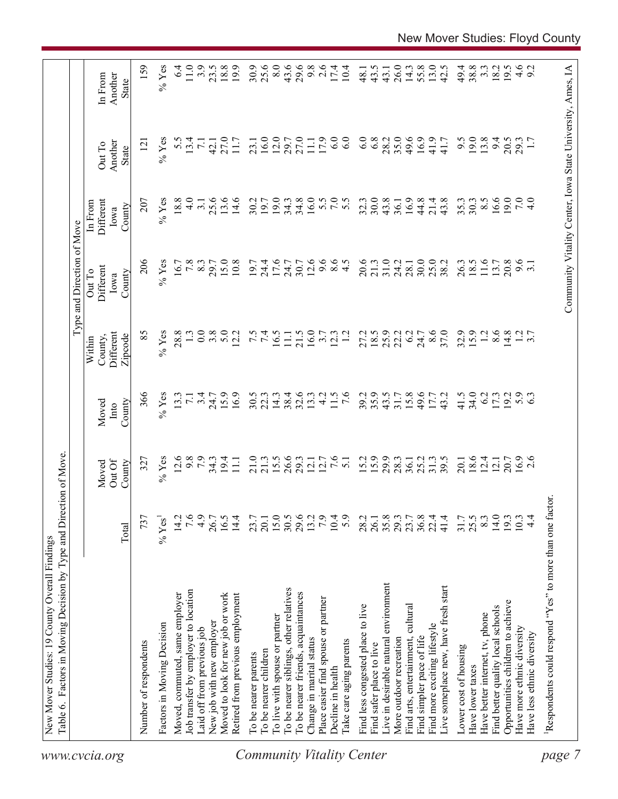| 19.0<br>34.8<br>16.0<br>30.0<br>16.6<br>13.6<br>14.6<br>30.2<br>19.0<br>34.3<br>32.3<br>43.8<br>16.9<br>44.8<br>43.8<br>35.3<br>19.7<br>21.4<br>30.3<br>36.1<br>9.6<br>12.6<br>$8.5$<br>$4.5$<br>20.6<br>31.0<br>25.0<br>26.3<br>11.6<br>20.8<br>15.0<br>10.8<br>19.7<br>17.6<br>9.6<br>21.3<br>24.2<br>18.5<br>13.7<br>24.4<br>24.7<br>30.7<br>30.0<br>38.2<br>3.1<br>28.1<br>16.0<br>8.6<br>32.9<br>15.9<br>8.6<br>5.0<br>7.4<br>21.5<br>18.5<br>25.9<br>37.0<br>$\overline{12}$<br>14.8<br>$1.2$<br>3.7<br>12.2<br>16.5<br>$\overline{12}$<br>22.2<br>6.2<br>11.1<br>3.7<br>12.3<br>27.2<br>24.7<br>35.9<br>41.5<br>34.0<br>15.9<br>16.9<br>30.5<br>38.4<br>$32.6$<br>13.3<br>4.2<br>11.5<br>$\overline{7.6}$<br>39.2<br>43.5<br>15.8<br>49.6<br>43.2<br>6.2<br>19.2<br>5.3<br>22.3<br>14.3<br>17.3<br>31.7<br>17.7<br>$15.5$<br>26.6<br>29.3<br>7.6<br>15.2<br>29.9<br>$18.6$<br>12.4<br>$16.9$<br>2.6<br>$34.3$<br>19.4<br>11.1<br>21.0<br>$12.1$<br>$12.7$<br>25.2<br>31.3<br>39.5<br>20.7<br>21.3<br>5.1<br>28.3<br>36.1<br>20.1<br>12.1<br>15.0<br>29.6<br>7.9<br>14.0<br>16.5<br>14.4<br>30.5<br>10.4<br>5.9<br>35.8<br>36.8<br>41.4<br>25.5<br>8.3<br>19.3<br>$4\cdot$<br>23.7<br>13.2<br>28.2<br>26.1<br>29.3<br>23.7<br>22.4<br>31.7<br>10.3<br>20.1<br>Live in desirable natural environment<br>Live someplace new, have fresh start<br>To be nearer siblings, other relatives<br>To be nearer friends, acquaintances<br>Moved to look for new job or work<br>Retired from previous employment<br>Place easier find spouse or partner<br>Opportunities children to achieve<br>Find less congested place to live<br>Find arts, entertainment, cultural<br>Find better quality local schools<br>Have better internet, tv, phone<br>To live with spouse or partner<br>Find more exciting lifestyle<br>Have more ethnic diversity<br>Have less ethnic diversity<br>More outdoor recreation<br>Find simpler pace of life<br>Change in marital status<br>Take care aging parents<br>Find safer place to live<br>Lower cost of housing<br>To be nearer children<br>To be nearer parents<br>Have lower taxes<br>Decline in health |
|----------------------------------------------------------------------------------------------------------------------------------------------------------------------------------------------------------------------------------------------------------------------------------------------------------------------------------------------------------------------------------------------------------------------------------------------------------------------------------------------------------------------------------------------------------------------------------------------------------------------------------------------------------------------------------------------------------------------------------------------------------------------------------------------------------------------------------------------------------------------------------------------------------------------------------------------------------------------------------------------------------------------------------------------------------------------------------------------------------------------------------------------------------------------------------------------------------------------------------------------------------------------------------------------------------------------------------------------------------------------------------------------------------------------------------------------------------------------------------------------------------------------------------------------------------------------------------------------------------------------------------------------------------------------------------------------------------------------------------------------------------------------------------------------------------------------------------------------------------------------------------------------------------------------------------------------------------------------------------------------------------------------------------------------------------------------------------------------------------------------------------------|
|                                                                                                                                                                                                                                                                                                                                                                                                                                                                                                                                                                                                                                                                                                                                                                                                                                                                                                                                                                                                                                                                                                                                                                                                                                                                                                                                                                                                                                                                                                                                                                                                                                                                                                                                                                                                                                                                                                                                                                                                                                                                                                                                        |
|                                                                                                                                                                                                                                                                                                                                                                                                                                                                                                                                                                                                                                                                                                                                                                                                                                                                                                                                                                                                                                                                                                                                                                                                                                                                                                                                                                                                                                                                                                                                                                                                                                                                                                                                                                                                                                                                                                                                                                                                                                                                                                                                        |
|                                                                                                                                                                                                                                                                                                                                                                                                                                                                                                                                                                                                                                                                                                                                                                                                                                                                                                                                                                                                                                                                                                                                                                                                                                                                                                                                                                                                                                                                                                                                                                                                                                                                                                                                                                                                                                                                                                                                                                                                                                                                                                                                        |
|                                                                                                                                                                                                                                                                                                                                                                                                                                                                                                                                                                                                                                                                                                                                                                                                                                                                                                                                                                                                                                                                                                                                                                                                                                                                                                                                                                                                                                                                                                                                                                                                                                                                                                                                                                                                                                                                                                                                                                                                                                                                                                                                        |
|                                                                                                                                                                                                                                                                                                                                                                                                                                                                                                                                                                                                                                                                                                                                                                                                                                                                                                                                                                                                                                                                                                                                                                                                                                                                                                                                                                                                                                                                                                                                                                                                                                                                                                                                                                                                                                                                                                                                                                                                                                                                                                                                        |
|                                                                                                                                                                                                                                                                                                                                                                                                                                                                                                                                                                                                                                                                                                                                                                                                                                                                                                                                                                                                                                                                                                                                                                                                                                                                                                                                                                                                                                                                                                                                                                                                                                                                                                                                                                                                                                                                                                                                                                                                                                                                                                                                        |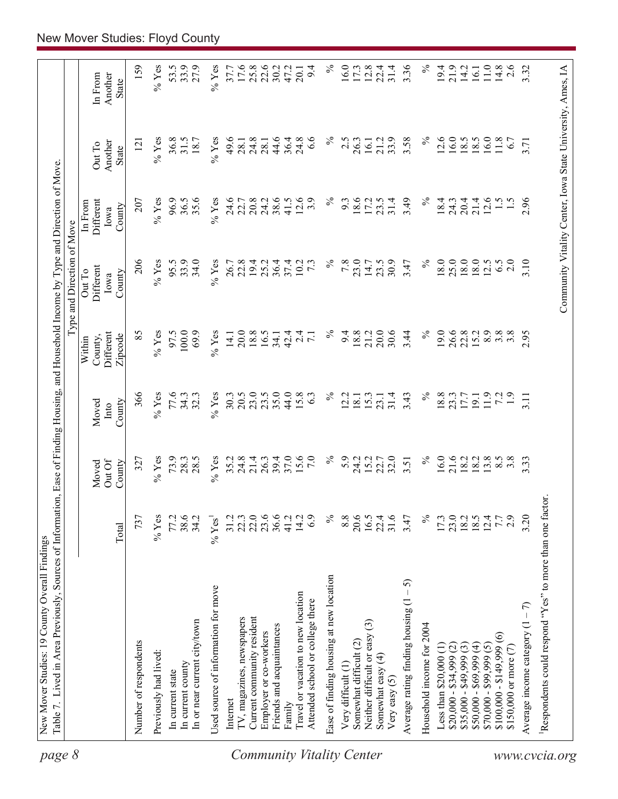| page 8                           | Table 7. Lived in Area Previously, Sources of Information, Ease of Finding Housing, and Household Income by Type and Direction of Move |                  |                           |                         |                                           | Type and Direction of Move                                 |                                        |                                   |                             |
|----------------------------------|----------------------------------------------------------------------------------------------------------------------------------------|------------------|---------------------------|-------------------------|-------------------------------------------|------------------------------------------------------------|----------------------------------------|-----------------------------------|-----------------------------|
|                                  |                                                                                                                                        | Total            | Out Of<br>County<br>Moved | County<br>Moved<br>Into | Different<br>Zipcode<br>County,<br>Within | Different<br>Out To<br>County<br>Iowa                      | Different<br>In From<br>County<br>Iowa | Another<br>Out To<br><b>State</b> | Another<br>In From<br>State |
|                                  | Number of respondents                                                                                                                  | 737              | 327                       | 366                     | 85                                        | 206                                                        | 207                                    | $\overline{2}$                    | 159                         |
|                                  | Previously had lived:                                                                                                                  | $%$ Yes          | $%$ Yes                   | $%$ Yes                 | $\%$ Yes                                  | $%$ Yes                                                    | $\%$ Yes                               | $\%$ Yes                          | $\%$ Yes                    |
|                                  | In current state                                                                                                                       | 77.2             | 73.9                      | 77.6                    | 97.5                                      | 95.5                                                       | 96.9                                   | 36.8                              | 53.5                        |
|                                  | In current county                                                                                                                      | 38.6             | 28.3                      | 34.3                    | 100.0                                     | 33.9                                                       | 36.5                                   | 31.5                              | 33.9                        |
|                                  | In or near current city/town                                                                                                           | 34.2             | 28.5                      | 32.3                    | 69.9                                      | 34.0                                                       | 35.6                                   | 18.7                              | 27.9                        |
|                                  | Used source of information for move                                                                                                    | $% \text{Yes}^1$ | $%$ Yes                   | $%$ Yes                 | $%$ Yes                                   | $%$ Yes                                                    | $%$ Yes                                | $%$ Yes                           | $%$ Yes                     |
|                                  | Internet                                                                                                                               | 31.2             | 35.2                      | 30.3                    | 14.1                                      | 26.7                                                       | 24.6                                   | 49.6                              | 37.7                        |
|                                  | TV, magazines, newspapers                                                                                                              | 22.3             | 24.8                      | 20.5                    | 20.0                                      | 22.8                                                       | 22.7                                   | 28.1                              | 17.6                        |
|                                  | Current community resident                                                                                                             | 22.0             | 21.4                      | 23.0                    | 18.8                                      | 19.4                                                       | 20.8                                   | 24.8                              | 25.8                        |
|                                  | Employer or co-workers                                                                                                                 | 23.6             | 26.3                      | 23.5                    | 16.5                                      | 25.2                                                       | 24.2                                   | 28.1                              | 22.6                        |
|                                  | Friends and acquaintances                                                                                                              |                  | 39.4                      | 35.0                    | 34.1                                      | 36.4                                                       | 38.6                                   | 44.6                              | 30.2                        |
|                                  | Family                                                                                                                                 | 41.2             | 37.0                      | 44.0                    | 42.4                                      | 37.4                                                       | 41.5                                   | 36.4                              | 47.2                        |
|                                  | Travel or vacation to new location                                                                                                     | 14.2             | 15.6                      | 15.8                    | $\overline{c}$                            | 10.2                                                       | 12.6                                   | 24.8                              | 20.1                        |
|                                  | Attended school or college there                                                                                                       | 6.9              | 7.0                       | 63                      | $\overline{7.1}$                          | $7\cdot$                                                   | 3.9                                    | $\frac{8}{3}$                     | 9.4                         |
| <b>Community Vitality Center</b> | Ease of finding housing at new location                                                                                                | $\%$             | $\%$                      | $\%$                    | $\%$                                      | $\%$                                                       | $\%$                                   | ℅                                 | $\%$                        |
|                                  | Very difficult (1)                                                                                                                     | 8.8              | 5.9                       | 2.2                     | 9.4                                       | 7.8                                                        | 9.3                                    | 2.5                               | 16.0                        |
|                                  | Somewhat difficult (2)                                                                                                                 | 20.6             | 24.2                      | 18.1                    | 18.8                                      | 23.0                                                       | 18.6                                   | 26.3                              | 17.3                        |
|                                  | Neither difficult or easy (3)                                                                                                          | 16.5             | 15.2                      | 15.3                    | 21.2                                      | 14.7                                                       | 17.2                                   | 16.1                              | 12.8                        |
|                                  | Somewhat easy (4)<br>Very easy $(5)$                                                                                                   | 22.4<br>31.6     | 22.7<br>32.0              | 31.4<br>23.1            | 20.0<br>30.6                              | 30.9<br>23.5                                               | 31.4<br>23.5                           | 33.9<br>21.2                      | 31.4<br>22.4                |
|                                  | $-5$<br>Average rating finding housing (1                                                                                              | 3.47             | 3.51                      | 3.43                    | 3.44                                      | 3.47                                                       | 3.49                                   | 3.58                              | 3.36                        |
|                                  | Household income for 2004                                                                                                              | $\%$             | $\%$                      | $\%$                    | $\%$                                      | $\%$                                                       | $\%$                                   | $\%$                              | $\%$                        |
|                                  | Less than $$20,000$ (1)                                                                                                                | 17.3             | 16.0                      | 18.8                    | 19.0                                      | $18.0\,$                                                   | 18.4                                   | 12.6                              | 19.4                        |
|                                  | $$20,000 - $34,999$ (2)                                                                                                                | 23.0             |                           | 23.3                    | 26.6                                      | 25.0                                                       | 24.3                                   | 16.0                              | 21.9                        |
|                                  | $$35,000 - $49,999(3)$                                                                                                                 | $18.2$<br>$18.5$ | 21.6<br>18.2              | 17.7                    | 22.8                                      | 18.0                                                       | 20.4                                   | 18.5                              | 14.2                        |
|                                  | $$50,000 - $69,999 (4)$                                                                                                                |                  | 18.2                      | 19.1                    | 15.2                                      | 18.0                                                       | 21.4                                   | 18.5                              | 16.1                        |
|                                  | $$70,000 - $99,999(5)$                                                                                                                 | 12.4             | 13.8                      | 11.9                    | 8.9                                       | 12.5                                                       | 12.6                                   | 16.0                              | 11.0                        |
|                                  | $$100,000 - $149,999(6)$                                                                                                               | 7.7              | 8.5                       | 72                      | 3.8                                       | 6.5                                                        | $\frac{1.5}{2}$                        | 11.8                              | 14.8                        |
|                                  | \$150,000 or more (7)                                                                                                                  | 2.9              | $3.\overline{8}$          | $\ddot{1}$ .            | $3.\overline{8}$                          | 2.0                                                        |                                        | 6.7                               | 2.6                         |
|                                  | Average income category $(1 - 7)$                                                                                                      | 3.20             | 3.33                      | 3.11                    | 2.95                                      | 3.10                                                       | 2.96                                   | 3.71                              | 3.32                        |
| www.cvcia.org                    | Respondents could respond "Yes" to more than one factor.                                                                               |                  |                           |                         |                                           |                                                            |                                        |                                   |                             |
|                                  |                                                                                                                                        |                  |                           |                         |                                           | Community Vitality Center, Iowa State University, Ames, IA |                                        |                                   |                             |
|                                  |                                                                                                                                        |                  |                           |                         |                                           |                                                            |                                        |                                   |                             |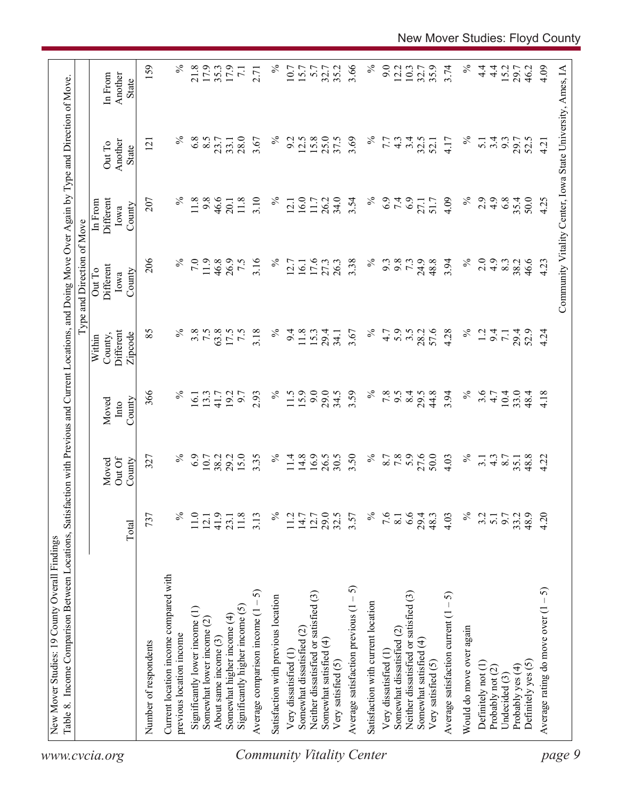| $\%$<br>$\%$<br>11.0<br>41.9<br>737<br>11.8<br>3.13<br>11.2<br>14.7<br>12.7<br>23.1<br>12.1<br>Total<br>Current location income compared with<br>ဂ<br>Neither dissatisfied or satisfied (3)<br>Satisfaction with previous location<br>Significantly higher income (5)<br>Significantly lower income (1)<br>Average comparison income (1<br>Somewhat higher income (4)<br>Somewhat lower income (2)<br>Somewhat dissatisfied (2)<br>previous location income<br>About same income (3)<br>Number of respondents<br>Very dissatisfied (1) | 6.9<br>15.0<br>$\%$<br>$10.7\,$<br>38.2<br>29.2<br>327<br>Out Of<br>County<br>Moved | Moved<br>Into | Within                          | Type and Direction of Move                                 | In From                     |                            |                             |
|----------------------------------------------------------------------------------------------------------------------------------------------------------------------------------------------------------------------------------------------------------------------------------------------------------------------------------------------------------------------------------------------------------------------------------------------------------------------------------------------------------------------------------------|-------------------------------------------------------------------------------------|---------------|---------------------------------|------------------------------------------------------------|-----------------------------|----------------------------|-----------------------------|
|                                                                                                                                                                                                                                                                                                                                                                                                                                                                                                                                        |                                                                                     | County        | Different<br>County,<br>Zipcode | Different<br>Out To<br>County<br>Iowa                      | Different<br>County<br>Iowa | Another<br>Out To<br>State | Another<br>In From<br>State |
|                                                                                                                                                                                                                                                                                                                                                                                                                                                                                                                                        |                                                                                     | 366           | 85                              | 206                                                        | 207                         | $\overline{2}$             | 159                         |
|                                                                                                                                                                                                                                                                                                                                                                                                                                                                                                                                        |                                                                                     | $\%$          | $\%$                            | $\%$                                                       | $\%$                        | $\%$                       | $\%$                        |
|                                                                                                                                                                                                                                                                                                                                                                                                                                                                                                                                        |                                                                                     |               |                                 |                                                            |                             |                            |                             |
|                                                                                                                                                                                                                                                                                                                                                                                                                                                                                                                                        |                                                                                     | 16.1          | $3.5$<br>7.5                    | 7.0                                                        | 11.8                        | 6.8                        | 21.8                        |
|                                                                                                                                                                                                                                                                                                                                                                                                                                                                                                                                        |                                                                                     | 13.3          |                                 | 11.9                                                       | 9.8                         | 8.5                        | 17.9                        |
|                                                                                                                                                                                                                                                                                                                                                                                                                                                                                                                                        |                                                                                     | 41.7          | 63.8                            | 46.8                                                       | 46.6                        | 23.7                       | 35.3                        |
|                                                                                                                                                                                                                                                                                                                                                                                                                                                                                                                                        |                                                                                     | 192           | 17.5                            | 26.9                                                       | 20.1                        | 33.1                       | 17.9                        |
|                                                                                                                                                                                                                                                                                                                                                                                                                                                                                                                                        |                                                                                     | 6.7           | 7.5                             | 7.5                                                        | 11.8                        | 28.0                       | $\overline{7}$ .            |
|                                                                                                                                                                                                                                                                                                                                                                                                                                                                                                                                        | 3.35                                                                                | 2.93          | 3.18                            | 3.16                                                       | 3.10                        | 3.67                       | 2.71                        |
|                                                                                                                                                                                                                                                                                                                                                                                                                                                                                                                                        | $\%$                                                                                | $\%$          | $\%$                            | $\%$                                                       | $\%$                        | $\%$                       | $\%$                        |
|                                                                                                                                                                                                                                                                                                                                                                                                                                                                                                                                        | 11.4                                                                                | 11.5          | 9.4                             | 12.7                                                       | 12.1                        | 9.2                        | 10.7                        |
|                                                                                                                                                                                                                                                                                                                                                                                                                                                                                                                                        | 14.8                                                                                | 15.9          | 11.8                            | 16.1                                                       | 16.0                        | 12.5                       | 15.7                        |
|                                                                                                                                                                                                                                                                                                                                                                                                                                                                                                                                        | 16.9                                                                                | 9.0           | 15.3                            | 17.6                                                       | 11.7                        | 15.8                       | 5.7                         |
| 29.0<br>Somewhat satisfied (4)                                                                                                                                                                                                                                                                                                                                                                                                                                                                                                         | 26.5                                                                                | 29.0          | 29.4                            | 27.3                                                       | 26.2                        | 25.0                       | 32.7                        |
| 32.5<br>Very satisfied (5)                                                                                                                                                                                                                                                                                                                                                                                                                                                                                                             | 30.5                                                                                | 34.5          | 34.1                            | 26.3                                                       | 34.0                        | 37.5                       | 35.2                        |
| 3.57<br>Average satisfaction previous $(1 - 5)$                                                                                                                                                                                                                                                                                                                                                                                                                                                                                        | 3.50                                                                                | 3.59          | 3.67                            | 3.38                                                       | 3.54                        | 3.69                       | 3.66                        |
| $\%$<br>Satisfaction with current location                                                                                                                                                                                                                                                                                                                                                                                                                                                                                             | $\%$                                                                                | $\%$          | $\%$                            | $\%$                                                       | $\%$                        | $\%$                       | $\%$                        |
| 7.6<br>Very dissatisfied (1                                                                                                                                                                                                                                                                                                                                                                                                                                                                                                            | 8.7                                                                                 | 7.8           | 4.7                             | 9.3                                                        | 6.9                         | 7.7                        | 9.0                         |
| 8.1<br>Somewhat dissatisfied (2)                                                                                                                                                                                                                                                                                                                                                                                                                                                                                                       |                                                                                     | 9.5           | 5.9                             | 9.8                                                        |                             | 4.3                        | 12.2                        |
| 6.6<br>Neither dissatisfied or satisfied (3)                                                                                                                                                                                                                                                                                                                                                                                                                                                                                           | $7.8$<br>5.9                                                                        | 8.4           | 3.5                             | 7.3                                                        | 7.9                         | 3.4                        | 10.3                        |
| 29.4<br>Somewhat satisfied (4)                                                                                                                                                                                                                                                                                                                                                                                                                                                                                                         | 27.6                                                                                | 29.5          | 28.2                            | 24.9                                                       | 27.1                        | 32.5                       | 32.7                        |
| 48.3<br>Very satisfied (5)                                                                                                                                                                                                                                                                                                                                                                                                                                                                                                             | 50.0                                                                                | 44.8          | 57.6                            | 48.8                                                       | 51.7                        | 52.1                       |                             |
| 4.03<br>Average satisfaction current $(1 - 5)$                                                                                                                                                                                                                                                                                                                                                                                                                                                                                         | 4.03                                                                                | 3.94          | 4.28                            | 3.94                                                       | 4.09                        | 4.17                       | 3.74                        |
| $\%$<br>Would do move over again                                                                                                                                                                                                                                                                                                                                                                                                                                                                                                       | $\%$                                                                                | $\%$          | $\%$                            | $\%$                                                       | $\%$                        | $\%$                       | $\%$                        |
| 3.2<br>Definitely not (1)                                                                                                                                                                                                                                                                                                                                                                                                                                                                                                              | 3.1                                                                                 | 3.6           | 1.2                             | 2.0                                                        | 2.9                         | 5.1                        | $4\cdot$                    |
| $\overline{5}$ .<br>Probably not (2)                                                                                                                                                                                                                                                                                                                                                                                                                                                                                                   | $4.\overline{3}$<br>8.7                                                             | 4.7           | 9.4                             | 4.9                                                        | $\frac{4}{9}$               | 3.4                        | $\frac{4}{4}$               |
| 6.7<br>Undecided (3)                                                                                                                                                                                                                                                                                                                                                                                                                                                                                                                   |                                                                                     | 10.4          | $\overline{71}$                 | 8.3                                                        | 6.8                         | 9.3                        | 15.2                        |
| 33.2<br>Probably yes (4)                                                                                                                                                                                                                                                                                                                                                                                                                                                                                                               | 35.1                                                                                | 33.0          | 29.4<br>52.9                    | 38.2                                                       | 35.4                        | 29.7                       | 29.7                        |
| 48.9<br>Definitely yes (5)                                                                                                                                                                                                                                                                                                                                                                                                                                                                                                             | 48.8                                                                                | 48.4          |                                 | 46.6                                                       | 50.0                        | 52.5                       | 46.2                        |
| 4.20<br>Average rating do move over $(1 - 5)$                                                                                                                                                                                                                                                                                                                                                                                                                                                                                          | 4.22                                                                                | 4.18          | 4.24                            | 4.23                                                       | 4.25                        | 4.21                       | 4.09                        |
|                                                                                                                                                                                                                                                                                                                                                                                                                                                                                                                                        |                                                                                     |               |                                 | Community Vitality Center, Iowa State University, Ames, IA |                             |                            |                             |